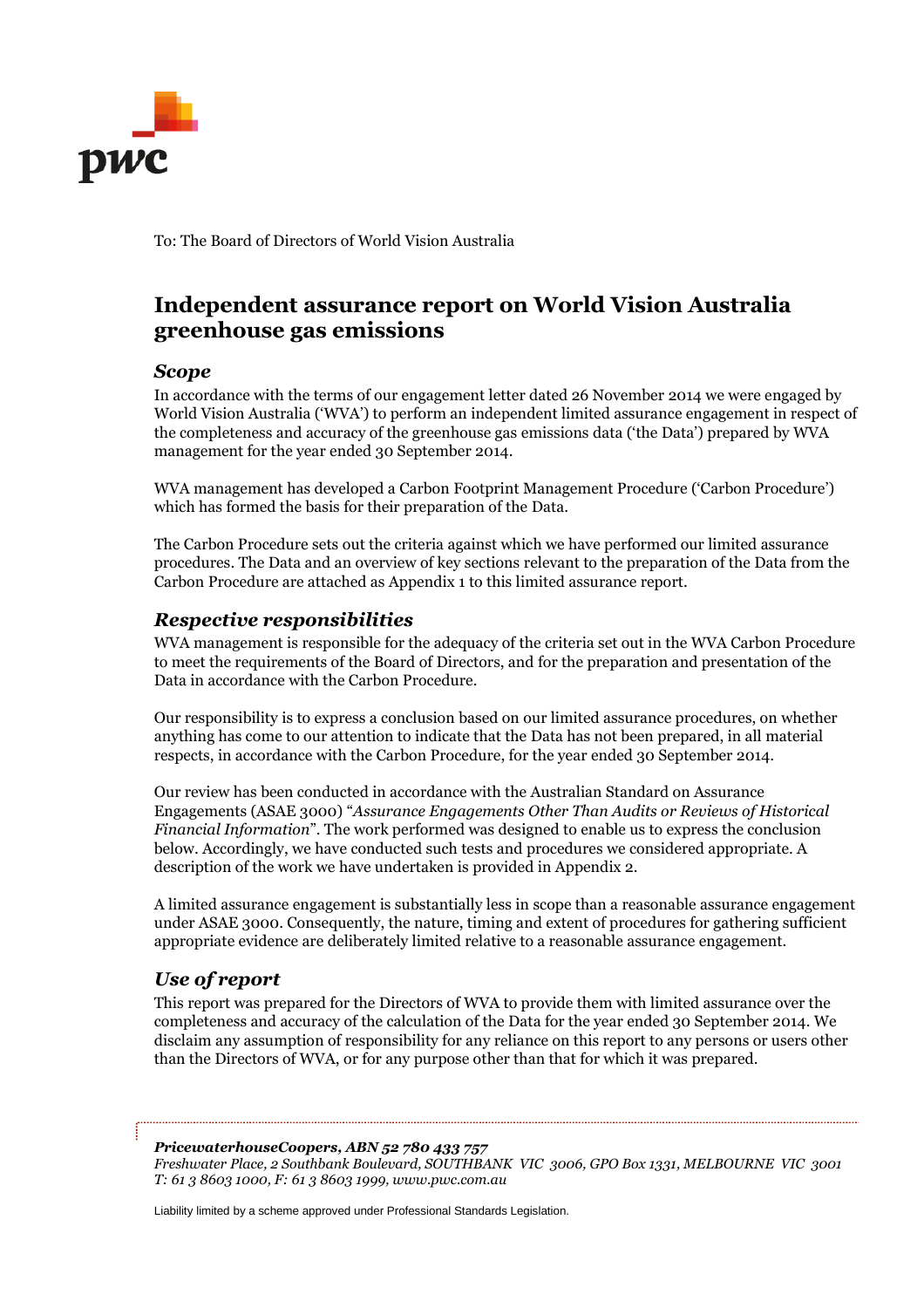

To: The Board of Directors of World Vision Australia

# **Independent assurance report on World Vision Australia greenhouse gas emissions**

#### *Scope*

In accordance with the terms of our engagement letter dated 26 November 2014 we were engaged by World Vision Australia ('WVA') to perform an independent limited assurance engagement in respect of the completeness and accuracy of the greenhouse gas emissions data ('the Data') prepared by WVA management for the year ended 30 September 2014.

WVA management has developed a Carbon Footprint Management Procedure ('Carbon Procedure') which has formed the basis for their preparation of the Data.

The Carbon Procedure sets out the criteria against which we have performed our limited assurance procedures. The Data and an overview of key sections relevant to the preparation of the Data from the Carbon Procedure are attached as Appendix 1 to this limited assurance report.

#### *Respective responsibilities*

WVA management is responsible for the adequacy of the criteria set out in the WVA Carbon Procedure to meet the requirements of the Board of Directors, and for the preparation and presentation of the Data in accordance with the Carbon Procedure.

Our responsibility is to express a conclusion based on our limited assurance procedures, on whether anything has come to our attention to indicate that the Data has not been prepared, in all material respects, in accordance with the Carbon Procedure, for the year ended 30 September 2014.

Our review has been conducted in accordance with the Australian Standard on Assurance Engagements (ASAE 3000) "*Assurance Engagements Other Than Audits or Reviews of Historical Financial Information*". The work performed was designed to enable us to express the conclusion below. Accordingly, we have conducted such tests and procedures we considered appropriate. A description of the work we have undertaken is provided in Appendix 2.

A limited assurance engagement is substantially less in scope than a reasonable assurance engagement under ASAE 3000. Consequently, the nature, timing and extent of procedures for gathering sufficient appropriate evidence are deliberately limited relative to a reasonable assurance engagement.

### *Use of report*

This report was prepared for the Directors of WVA to provide them with limited assurance over the completeness and accuracy of the calculation of the Data for the year ended 30 September 2014. We disclaim any assumption of responsibility for any reliance on this report to any persons or users other than the Directors of WVA, or for any purpose other than that for which it was prepared.

#### *PricewaterhouseCoopers, ABN 52 780 433 757*

*Freshwater Place, 2 Southbank Boulevard, SOUTHBANK VIC 3006, GPO Box 1331, MELBOURNE VIC 3001 T: 61 3 8603 1000, F: 61 3 8603 1999, www.pwc.com.au*

Liability limited by a scheme approved under Professional Standards Legislation.

....................................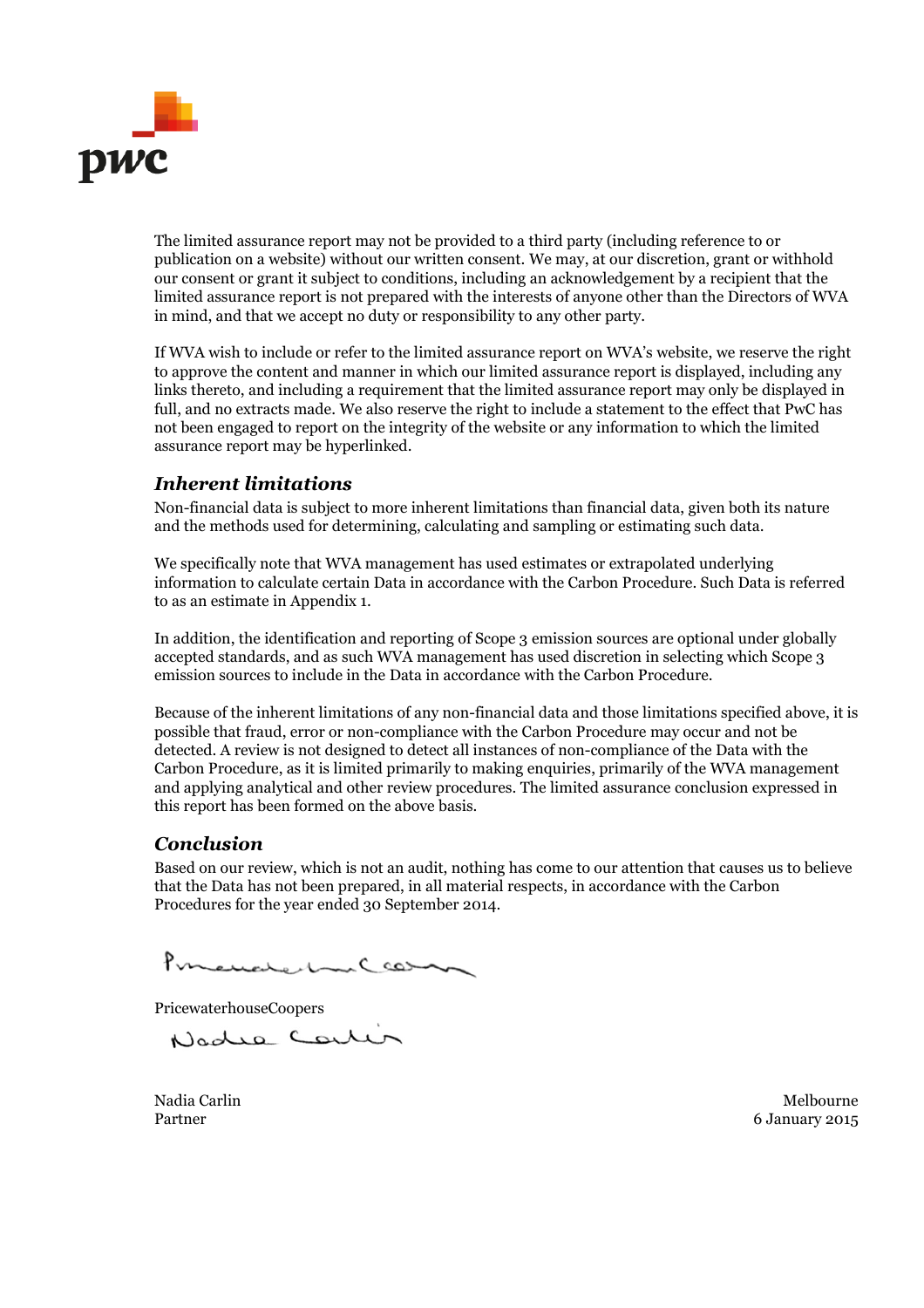

The limited assurance report may not be provided to a third party (including reference to or publication on a website) without our written consent. We may, at our discretion, grant or withhold our consent or grant it subject to conditions, including an acknowledgement by a recipient that the limited assurance report is not prepared with the interests of anyone other than the Directors of WVA in mind, and that we accept no duty or responsibility to any other party.

If WVA wish to include or refer to the limited assurance report on WVA's website, we reserve the right to approve the content and manner in which our limited assurance report is displayed, including any links thereto, and including a requirement that the limited assurance report may only be displayed in full, and no extracts made. We also reserve the right to include a statement to the effect that PwC has not been engaged to report on the integrity of the website or any information to which the limited assurance report may be hyperlinked.

### *Inherent limitations*

Non-financial data is subject to more inherent limitations than financial data, given both its nature and the methods used for determining, calculating and sampling or estimating such data.

We specifically note that WVA management has used estimates or extrapolated underlying information to calculate certain Data in accordance with the Carbon Procedure. Such Data is referred to as an estimate in Appendix 1.

In addition, the identification and reporting of Scope 3 emission sources are optional under globally accepted standards, and as such WVA management has used discretion in selecting which Scope 3 emission sources to include in the Data in accordance with the Carbon Procedure.

Because of the inherent limitations of any non-financial data and those limitations specified above, it is possible that fraud, error or non-compliance with the Carbon Procedure may occur and not be detected. A review is not designed to detect all instances of non-compliance of the Data with the Carbon Procedure, as it is limited primarily to making enquiries, primarily of the WVA management and applying analytical and other review procedures. The limited assurance conclusion expressed in this report has been formed on the above basis.

### *Conclusion*

Based on our review, which is not an audit, nothing has come to our attention that causes us to believe that the Data has not been prepared, in all material respects, in accordance with the Carbon Procedures for the year ended 30 September 2014.

Pomenated me Ceasing

PricewaterhouseCoopers

Nadie Cente

Nadia Carlin Melbourne Partner 6 January 2015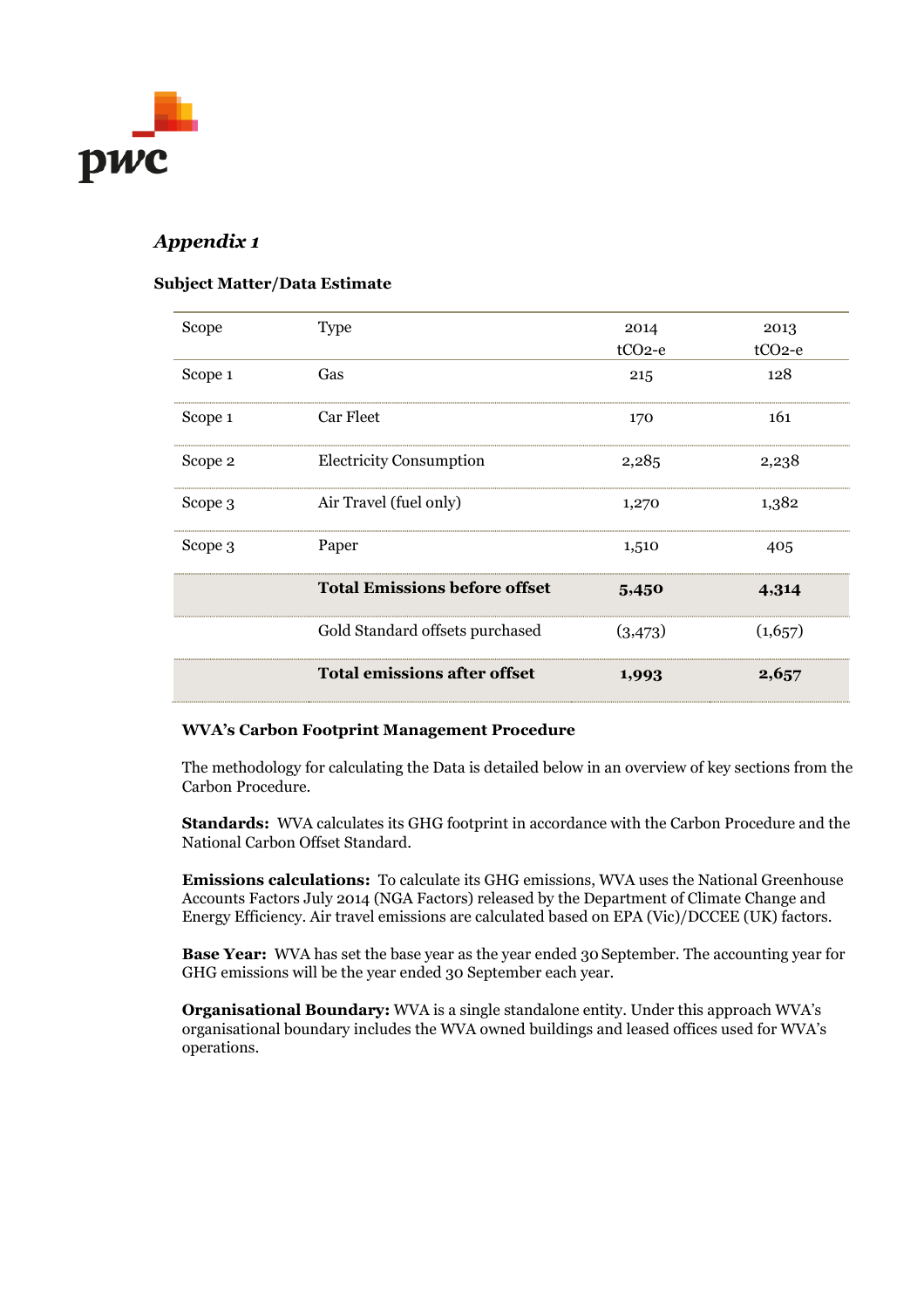

## *Appendix 1*

#### **Subject Matter/Data Estimate**

| Scope   | <b>Type</b>                          | 2014     | 2013     |
|---------|--------------------------------------|----------|----------|
|         |                                      | $tCO2-e$ | $tCO2-e$ |
| Scope 1 | Gas                                  | 215      | 128      |
| Scope 1 | Car Fleet                            | 170      | 161      |
| Scope 2 | <b>Electricity Consumption</b>       | 2,285    | 2,238    |
| Scope 3 | Air Travel (fuel only)               | 1,270    | 1,382    |
| Scope 3 | Paper                                | 1,510    | 405      |
|         | <b>Total Emissions before offset</b> | 5,450    | 4,314    |
|         | Gold Standard offsets purchased      | (3,473)  | (1,657)  |
|         | <b>Total emissions after offset</b>  | 1,993    | 2,657    |

#### **WVA's Carbon Footprint Management Procedure**

The methodology for calculating the Data is detailed below in an overview of key sections from the Carbon Procedure.

**Standards:** WVA calculates its GHG footprint in accordance with the Carbon Procedure and the National Carbon Offset Standard.

**Emissions calculations:** To calculate its GHG emissions, WVA uses the National Greenhouse Accounts Factors July 2014 (NGA Factors) released by the Department of Climate Change and Energy Efficiency. Air travel emissions are calculated based on EPA (Vic)/DCCEE (UK) factors.

**Base Year:** WVA has set the base year as the year ended 30 September. The accounting year for GHG emissions will be the year ended 30 September each year.

**Organisational Boundary:** WVA is a single standalone entity. Under this approach WVA's organisational boundary includes the WVA owned buildings and leased offices used for WVA's operations.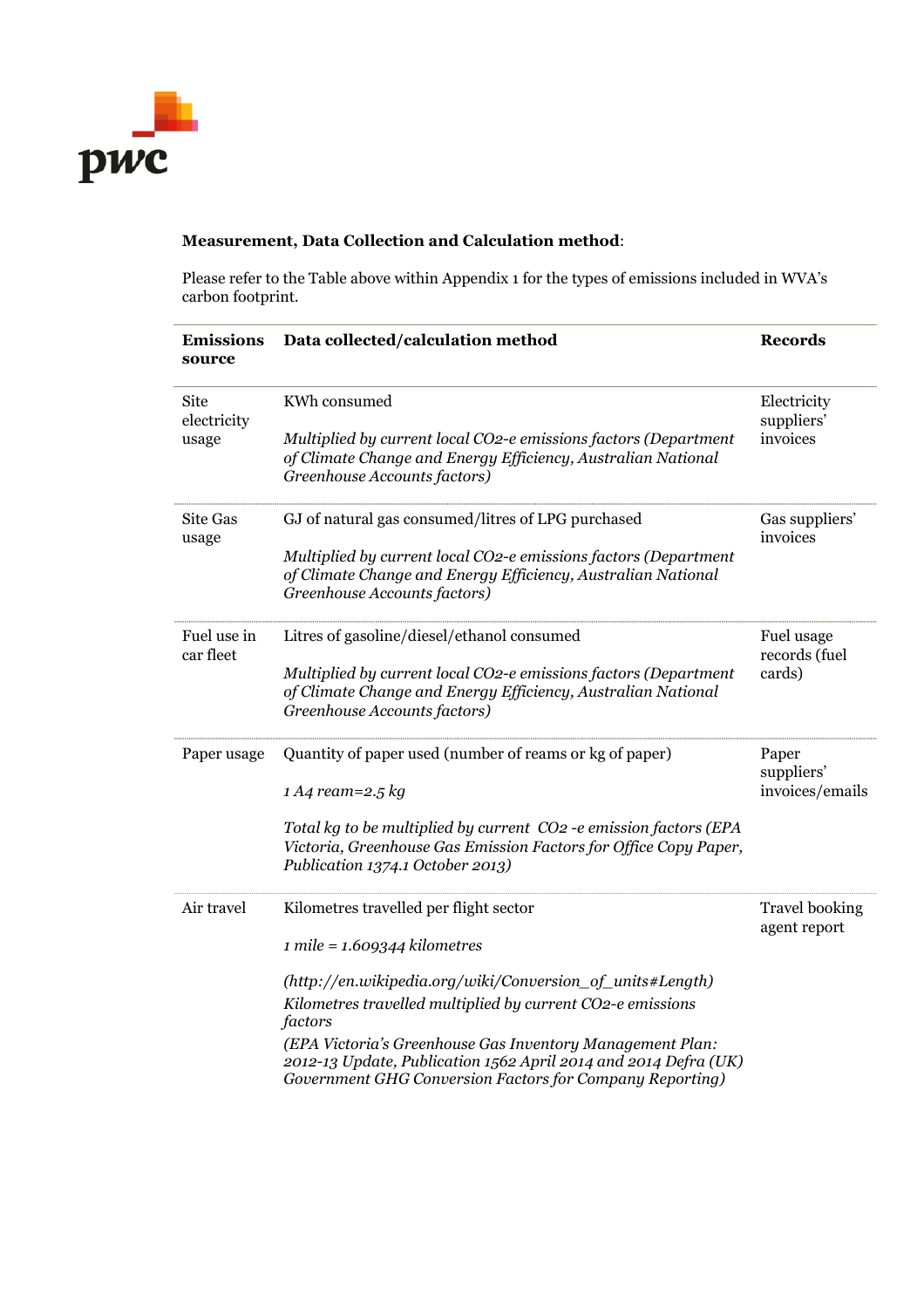

### **Measurement, Data Collection and Calculation method**:

Please refer to the Table above within Appendix 1 for the types of emissions included in WVA's carbon footprint.

| <b>Emissions</b><br>source   | Data collected/calculation method                                                                                                                                                        | <b>Records</b>                        |
|------------------------------|------------------------------------------------------------------------------------------------------------------------------------------------------------------------------------------|---------------------------------------|
| Site<br>electricity<br>usage | KWh consumed                                                                                                                                                                             | Electricity<br>suppliers'<br>invoices |
|                              | Multiplied by current local CO2-e emissions factors (Department<br>of Climate Change and Energy Efficiency, Australian National<br>Greenhouse Accounts factors)                          |                                       |
| <b>Site Gas</b><br>usage     | GJ of natural gas consumed/litres of LPG purchased                                                                                                                                       | Gas suppliers'<br>invoices            |
|                              | Multiplied by current local CO2-e emissions factors (Department<br>of Climate Change and Energy Efficiency, Australian National<br>Greenhouse Accounts factors)                          |                                       |
| Fuel use in<br>car fleet     | Litres of gasoline/diesel/ethanol consumed                                                                                                                                               | Fuel usage<br>records (fuel           |
|                              | Multiplied by current local CO2-e emissions factors (Department<br>of Climate Change and Energy Efficiency, Australian National<br>Greenhouse Accounts factors)                          | cards)                                |
| Paper usage                  | Quantity of paper used (number of reams or kg of paper)                                                                                                                                  | Paper<br>suppliers'                   |
|                              | $1 A4$ ream=2.5 kg                                                                                                                                                                       | invoices/emails                       |
|                              | Total kg to be multiplied by current CO2 -e emission factors (EPA<br>Victoria, Greenhouse Gas Emission Factors for Office Copy Paper,<br>Publication 1374.1 October 2013)                |                                       |
| Air travel                   | Kilometres travelled per flight sector                                                                                                                                                   | <b>Travel booking</b><br>agent report |
|                              | $1$ mile = $1.609344$ kilometres                                                                                                                                                         |                                       |
|                              | (http://en.wikipedia.org/wiki/Conversion_of_units#Length)<br>Kilometres travelled multiplied by current CO2-e emissions<br>factors                                                       |                                       |
|                              | (EPA Victoria's Greenhouse Gas Inventory Management Plan:<br>2012-13 Update, Publication 1562 April 2014 and 2014 Defra (UK)<br>Government GHG Conversion Factors for Company Reporting) |                                       |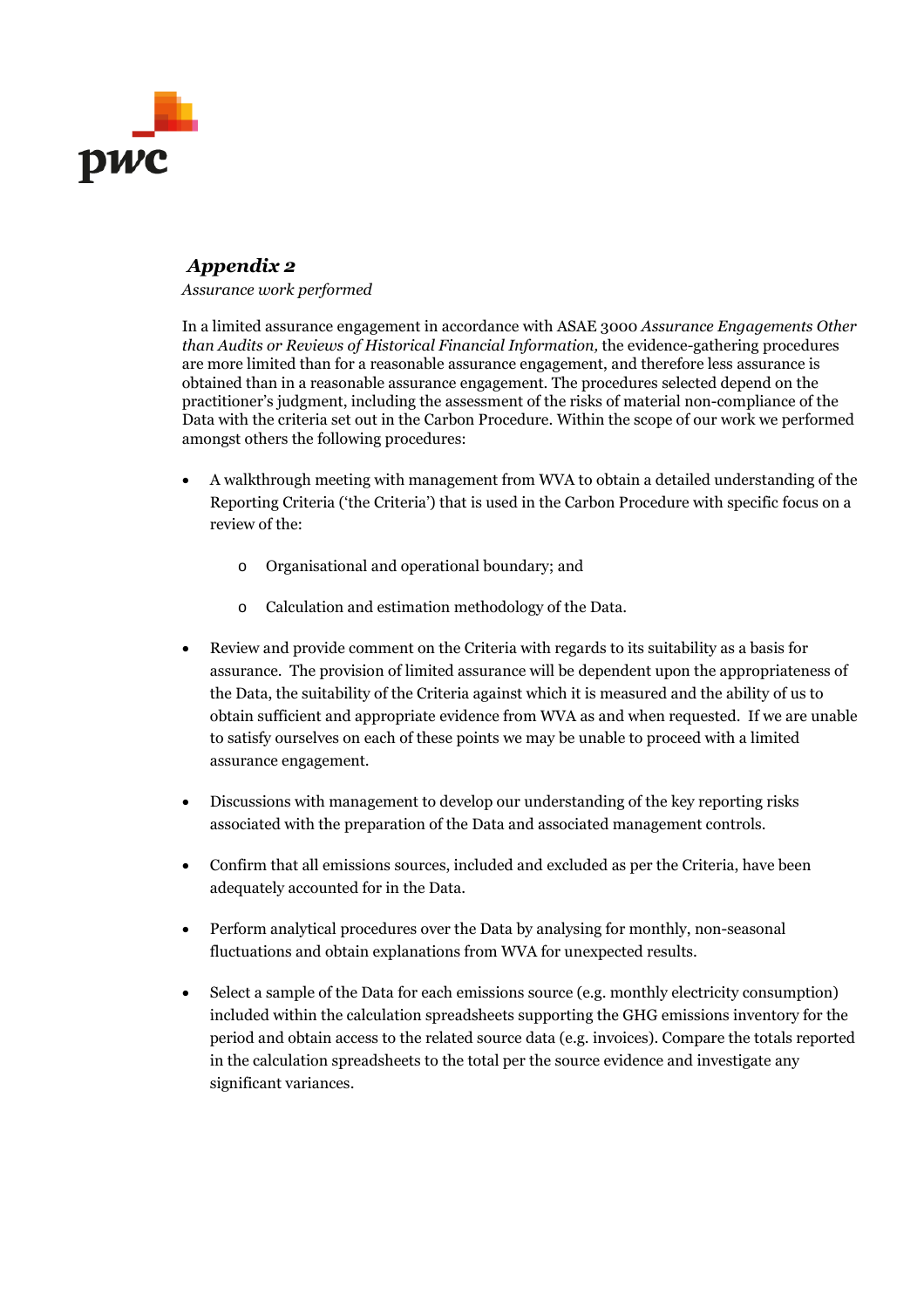

## *Appendix 2*

*Assurance work performed*

In a limited assurance engagement in accordance with ASAE 3000 *Assurance Engagements Other than Audits or Reviews of Historical Financial Information,* the evidence-gathering procedures are more limited than for a reasonable assurance engagement, and therefore less assurance is obtained than in a reasonable assurance engagement. The procedures selected depend on the practitioner's judgment, including the assessment of the risks of material non-compliance of the Data with the criteria set out in the Carbon Procedure. Within the scope of our work we performed amongst others the following procedures:

- A walkthrough meeting with management from WVA to obtain a detailed understanding of the Reporting Criteria ('the Criteria') that is used in the Carbon Procedure with specific focus on a review of the:
	- o Organisational and operational boundary; and
	- o Calculation and estimation methodology of the Data.
- Review and provide comment on the Criteria with regards to its suitability as a basis for assurance. The provision of limited assurance will be dependent upon the appropriateness of the Data, the suitability of the Criteria against which it is measured and the ability of us to obtain sufficient and appropriate evidence from WVA as and when requested. If we are unable to satisfy ourselves on each of these points we may be unable to proceed with a limited assurance engagement.
- Discussions with management to develop our understanding of the key reporting risks associated with the preparation of the Data and associated management controls.
- Confirm that all emissions sources, included and excluded as per the Criteria, have been adequately accounted for in the Data.
- Perform analytical procedures over the Data by analysing for monthly, non-seasonal fluctuations and obtain explanations from WVA for unexpected results.
- Select a sample of the Data for each emissions source (e.g. monthly electricity consumption) included within the calculation spreadsheets supporting the GHG emissions inventory for the period and obtain access to the related source data (e.g. invoices). Compare the totals reported in the calculation spreadsheets to the total per the source evidence and investigate any significant variances.